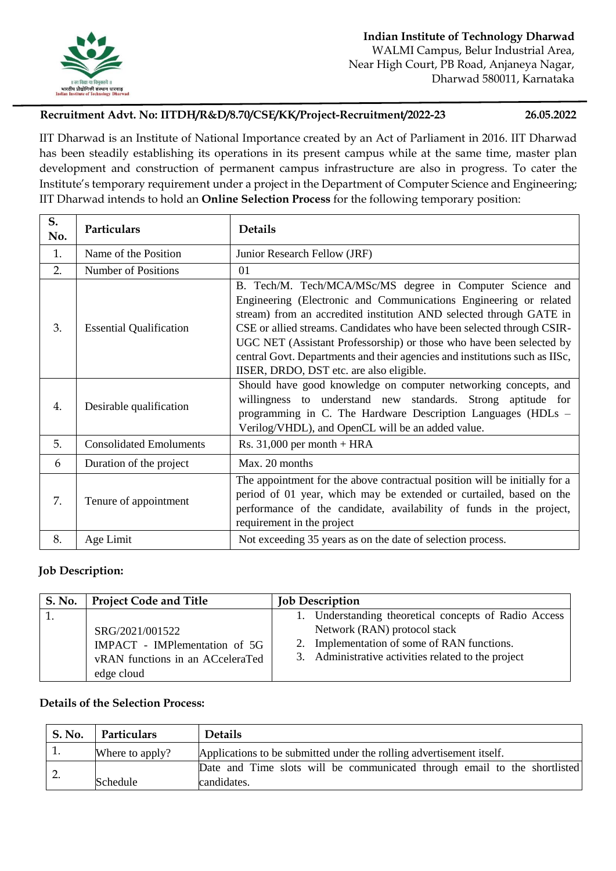

## **Recruitment Advt. No: IITDH/R&D/8.70/CSE/KK/Project-Recruitment/2022-23 26.05.2022**

IIT Dharwad is an Institute of National Importance created by an Act of Parliament in 2016. IIT Dharwad has been steadily establishing its operations in its present campus while at the same time, master plan development and construction of permanent campus infrastructure are also in progress. To cater the Institute's temporary requirement under a project in the Department of Computer Science and Engineering; IIT Dharwad intends to hold an **Online Selection Process** for the following temporary position:

| S.<br>No. | Particulars                    | <b>Details</b>                                                                                                                                                                                                                                                                                                                                                                                                                                                                     |
|-----------|--------------------------------|------------------------------------------------------------------------------------------------------------------------------------------------------------------------------------------------------------------------------------------------------------------------------------------------------------------------------------------------------------------------------------------------------------------------------------------------------------------------------------|
| 1.        | Name of the Position           | Junior Research Fellow (JRF)                                                                                                                                                                                                                                                                                                                                                                                                                                                       |
| 2.        | <b>Number of Positions</b>     | 01                                                                                                                                                                                                                                                                                                                                                                                                                                                                                 |
| 3.        | <b>Essential Qualification</b> | B. Tech/M. Tech/MCA/MSc/MS degree in Computer Science and<br>Engineering (Electronic and Communications Engineering or related<br>stream) from an accredited institution AND selected through GATE in<br>CSE or allied streams. Candidates who have been selected through CSIR-<br>UGC NET (Assistant Professorship) or those who have been selected by<br>central Govt. Departments and their agencies and institutions such as IISc,<br>IISER, DRDO, DST etc. are also eligible. |
| 4.        | Desirable qualification        | Should have good knowledge on computer networking concepts, and<br>willingness to understand new standards. Strong aptitude for<br>programming in C. The Hardware Description Languages (HDLs -<br>Verilog/VHDL), and OpenCL will be an added value.                                                                                                                                                                                                                               |
| 5.        | <b>Consolidated Emoluments</b> | Rs. $31,000$ per month + HRA                                                                                                                                                                                                                                                                                                                                                                                                                                                       |
| 6         | Duration of the project        | Max. 20 months                                                                                                                                                                                                                                                                                                                                                                                                                                                                     |
| 7.        | Tenure of appointment          | The appointment for the above contractual position will be initially for a<br>period of 01 year, which may be extended or curtailed, based on the<br>performance of the candidate, availability of funds in the project,<br>requirement in the project                                                                                                                                                                                                                             |
| 8.        | Age Limit                      | Not exceeding 35 years as on the date of selection process.                                                                                                                                                                                                                                                                                                                                                                                                                        |

## **Job Description:**

| <b>S. No.</b> | <b>Project Code and Title</b>                                                                      | <b>Job Description</b>                                                                                                                                                                      |
|---------------|----------------------------------------------------------------------------------------------------|---------------------------------------------------------------------------------------------------------------------------------------------------------------------------------------------|
|               | SRG/2021/001522<br>IMPACT - IMPlementation of 5G<br>vRAN functions in an ACceleraTed<br>edge cloud | 1. Understanding theoretical concepts of Radio Access<br>Network (RAN) protocol stack<br>2. Implementation of some of RAN functions.<br>3. Administrative activities related to the project |

## **Details of the Selection Process:**

| <b>S. No.</b> | Particulars     | <b>Details</b>                                                                           |
|---------------|-----------------|------------------------------------------------------------------------------------------|
|               | Where to apply? | Applications to be submitted under the rolling advertisement itself.                     |
|               | Schedule        | Date and Time slots will be communicated through email to the shortlisted<br>candidates. |